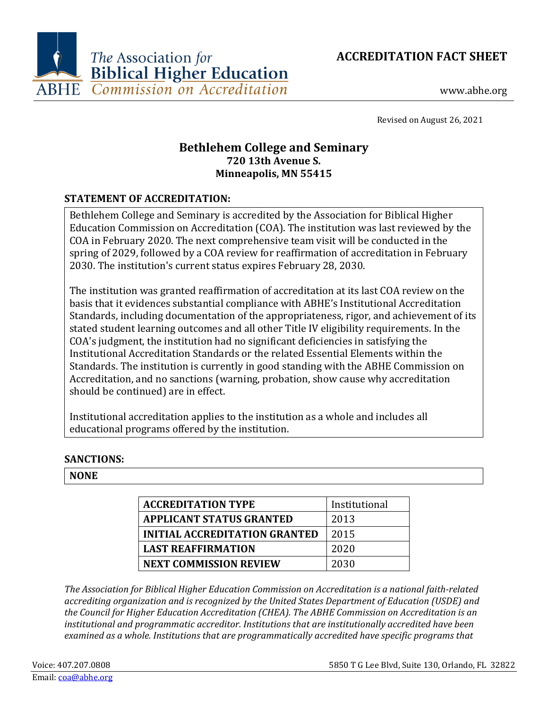



www.abhe.org

Revised on August 26, 2021

# **Bethlehem College and Seminary 720 13th Avenue S. Minneapolis, MN 55415**

# **STATEMENT OF ACCREDITATION:**

Bethlehem College and Seminary is accredited by the Association for Biblical Higher Education Commission on Accreditation (COA). The institution was last reviewed by the COA in February 2020. The next comprehensive team visit will be conducted in the spring of 2029, followed by a COA review for reaffirmation of accreditation in February 2030. The institution's current status expires February 28, 2030.

The institution was granted reaffirmation of accreditation at its last COA review on the basis that it evidences substantial compliance with ABHE's Institutional Accreditation Standards, including documentation of the appropriateness, rigor, and achievement of its stated student learning outcomes and all other Title IV eligibility requirements. In the COA's judgment, the institution had no significant deficiencies in satisfying the Institutional Accreditation Standards or the related Essential Elements within the Standards. The institution is currently in good standing with the ABHE Commission on Accreditation, and no sanctions (warning, probation, show cause why accreditation should be continued) are in effect.

Institutional accreditation applies to the institution as a whole and includes all educational programs offered by the institution.

## **SANCTIONS:**

#### **NONE**

| <b>ACCREDITATION TYPE</b>            | Institutional |
|--------------------------------------|---------------|
| <b>APPLICANT STATUS GRANTED</b>      | 2013          |
| <b>INITIAL ACCREDITATION GRANTED</b> | 2015          |
| <b>LAST REAFFIRMATION</b>            | 2020          |
| <b>NEXT COMMISSION REVIEW</b>        | 2030          |

*The Association for Biblical Higher Education Commission on Accreditation is a national faith-related accrediting organization and is recognized by the United States Department of Education (USDE) and the Council for Higher Education Accreditation (CHEA). The ABHE Commission on Accreditation is an institutional and programmatic accreditor. Institutions that are institutionally accredited have been examined as a whole. Institutions that are programmatically accredited have specific programs that*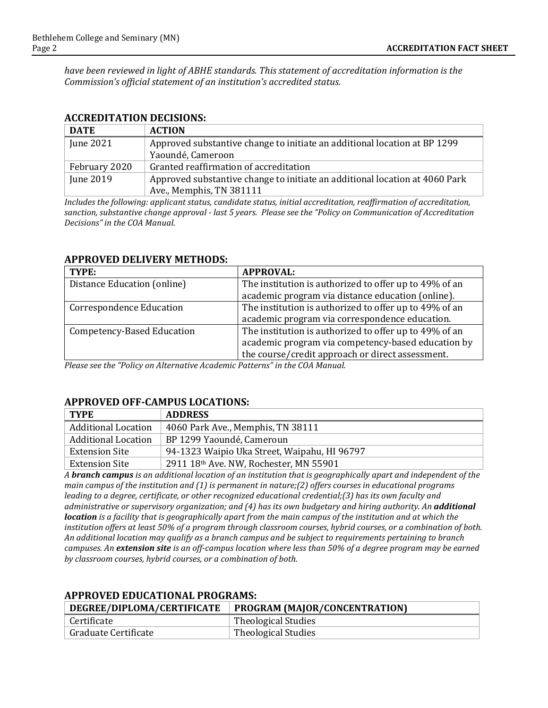*have been reviewed in light of ABHE standards. This statement of accreditation information is the Commission's official statement of an institution's accredited status.*

| <b>DATE</b>   | <b>ACTION</b>                                                               |
|---------------|-----------------------------------------------------------------------------|
| June 2021     | Approved substantive change to initiate an additional location at BP 1299   |
|               | Yaoundé, Cameroon                                                           |
| February 2020 | Granted reaffirmation of accreditation                                      |
| June 2019     | Approved substantive change to initiate an additional location at 4060 Park |
|               | Ave., Memphis, TN 381111                                                    |

*Includes the following: applicant status, candidate status, initial accreditation, reaffirmation of accreditation, sanction, substantive change approval - last 5 years. Please see the "Policy on Communication of Accreditation Decisions" in the COA Manual.*

| TYPE:                             | <b>APPROVAL:</b>                                       |
|-----------------------------------|--------------------------------------------------------|
| Distance Education (online)       | The institution is authorized to offer up to 49% of an |
|                                   | academic program via distance education (online).      |
| <b>Correspondence Education</b>   | The institution is authorized to offer up to 49% of an |
|                                   | academic program via correspondence education.         |
| <b>Competency-Based Education</b> | The institution is authorized to offer up to 49% of an |
|                                   | academic program via competency-based education by     |
|                                   | the course/credit approach or direct assessment.       |

#### **APPROVED DELIVERY METHODS:**

*Please see the "Policy on Alternative Academic Patterns" in the COA Manual.*

#### **APPROVED OFF-CAMPUS LOCATIONS:**

| TYPE                       | <b>ADDRESS</b>                               |
|----------------------------|----------------------------------------------|
| <b>Additional Location</b> | 4060 Park Ave., Memphis, TN 38111            |
| <b>Additional Location</b> | BP 1299 Yaoundé, Cameroun                    |
| <b>Extension Site</b>      | 94-1323 Waipio Uka Street, Waipahu, HI 96797 |
| Extension Site             | 2911 18th Ave. NW, Rochester, MN 55901       |

*A branch campus is an additional location of an institution that is geographically apart and independent of the main campus of the institution and (1) is permanent in nature;(2) offers courses in educational programs leading to a degree, certificate, or other recognized educational credential;(3) has its own faculty and administrative or supervisory organization; and (4) has its own budgetary and hiring authority. An additional location is a facility that is geographically apart from the main campus of the institution and at which the institution offers at least 50% of a program through classroom courses, hybrid courses, or a combination of both. An additional location may qualify as a branch campus and be subject to requirements pertaining to branch campuses. An extension site is an off-campus location where less than 50% of a degree program may be earned by classroom courses, hybrid courses, or a combination of both.*

| DEGREE/DIPLOMA/CERTIFICATE | PROGRAM (MAJOR/CONCENTRATION) |
|----------------------------|-------------------------------|
| ' Certificate              | Theological Studies           |
| Graduate Certificate       | Theological Studies           |

## **APPROVED EDUCATIONAL PROGRAMS:**